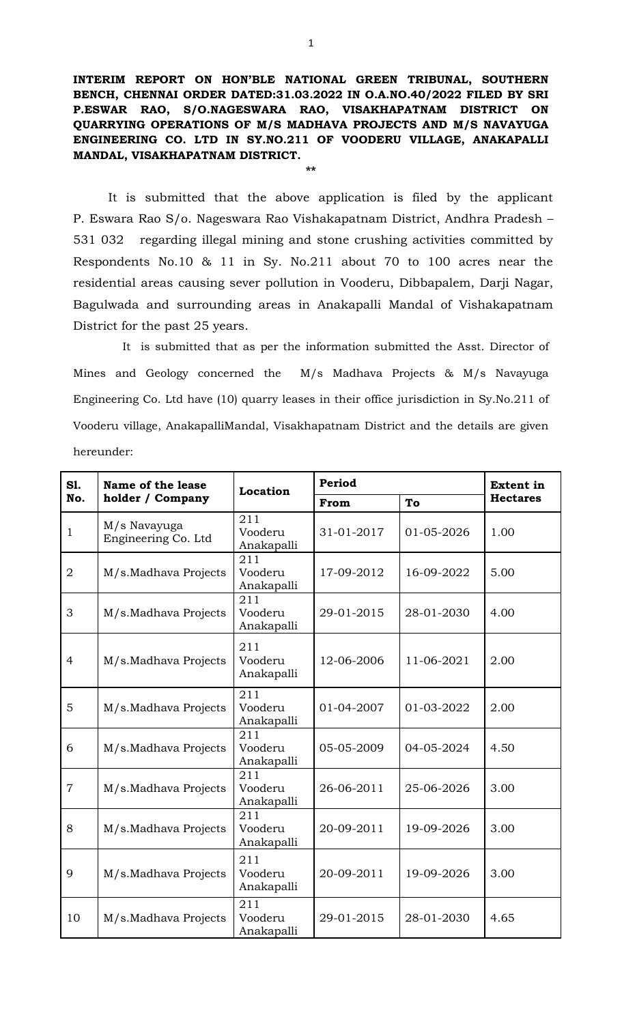**INTERIM REPORT ON HON'BLE NATIONAL GREEN TRIBUNAL, SOUTHERN BENCH, CHENNAI ORDER DATED:31.03.2022 IN O.A.NO.40/2022 FILED BY SRI P.ESWAR RAO, S/O.NAGESWARA RAO, VISAKHAPATNAM DISTRICT ON QUARRYING OPERATIONS OF M/S MADHAVA PROJECTS AND M/S NAVAYUGA ENGINEERING CO. LTD IN SY.NO.211 OF VOODERU VILLAGE, ANAKAPALLI MANDAL, VISAKHAPATNAM DISTRICT.**

**\*\***

 It is submitted that the above application is filed by the applicant P. Eswara Rao S/o. Nageswara Rao Vishakapatnam District, Andhra Pradesh – 531 032 regarding illegal mining and stone crushing activities committed by Respondents No.10 & 11 in Sy. No.211 about 70 to 100 acres near the residential areas causing sever pollution in Vooderu, Dibbapalem, Darji Nagar, Bagulwada and surrounding areas in Anakapalli Mandal of Vishakapatnam District for the past 25 years.

It is submitted that as per the information submitted the Asst. Director of Mines and Geology concerned the M/s Madhava Projects & M/s Navayuga Engineering Co. Ltd have (10) quarry leases in their office jurisdiction in Sy.No.211 of Vooderu village, AnakapalliMandal, Visakhapatnam District and the details are given hereunder:

| S1.            | Name of the lease                   | <b>Location</b>              | Period     |            | <b>Extent in</b> |
|----------------|-------------------------------------|------------------------------|------------|------------|------------------|
| No.            | holder / Company                    |                              | From       | To         | <b>Hectares</b>  |
| $\mathbf{1}$   | M/s Navayuga<br>Engineering Co. Ltd | 211<br>Vooderu<br>Anakapalli | 31-01-2017 | 01-05-2026 | 1.00             |
| $\overline{2}$ | M/s.Madhava Projects                | 211<br>Vooderu<br>Anakapalli | 17-09-2012 | 16-09-2022 | 5.00             |
| 3              | M/s.Madhava Projects                | 211<br>Vooderu<br>Anakapalli | 29-01-2015 | 28-01-2030 | 4.00             |
| $\overline{4}$ | M/s.Madhava Projects                | 211<br>Vooderu<br>Anakapalli | 12-06-2006 | 11-06-2021 | 2.00             |
| 5              | M/s.Madhava Projects                | 211<br>Vooderu<br>Anakapalli | 01-04-2007 | 01-03-2022 | 2.00             |
| 6              | M/s.Madhava Projects                | 211<br>Vooderu<br>Anakapalli | 05-05-2009 | 04-05-2024 | 4.50             |
| $\overline{7}$ | M/s.Madhava Projects                | 211<br>Vooderu<br>Anakapalli | 26-06-2011 | 25-06-2026 | 3.00             |
| 8              | M/s.Madhava Projects                | 211<br>Vooderu<br>Anakapalli | 20-09-2011 | 19-09-2026 | 3.00             |
| 9              | M/s.Madhava Projects                | 211<br>Vooderu<br>Anakapalli | 20-09-2011 | 19-09-2026 | 3.00             |
| 10             | M/s.Madhava Projects                | 211<br>Vooderu<br>Anakapalli | 29-01-2015 | 28-01-2030 | 4.65             |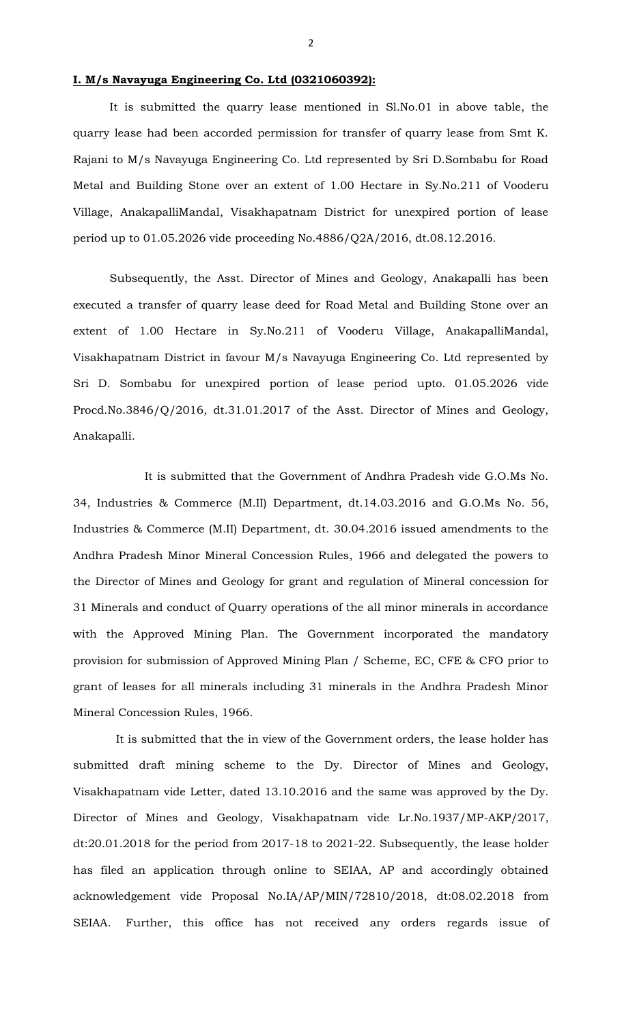# **I. M/s Navayuga Engineering Co. Ltd (0321060392):**

It is submitted the quarry lease mentioned in Sl.No.01 in above table, the quarry lease had been accorded permission for transfer of quarry lease from Smt K. Rajani to M/s Navayuga Engineering Co. Ltd represented by Sri D.Sombabu for Road Metal and Building Stone over an extent of 1.00 Hectare in Sy.No.211 of Vooderu Village, AnakapalliMandal, Visakhapatnam District for unexpired portion of lease period up to 01.05.2026 vide proceeding No.4886/Q2A/2016, dt.08.12.2016.

Subsequently, the Asst. Director of Mines and Geology, Anakapalli has been executed a transfer of quarry lease deed for Road Metal and Building Stone over an extent of 1.00 Hectare in Sy.No.211 of Vooderu Village, AnakapalliMandal, Visakhapatnam District in favour M/s Navayuga Engineering Co. Ltd represented by Sri D. Sombabu for unexpired portion of lease period upto. 01.05.2026 vide Procd.No.3846/Q/2016, dt.31.01.2017 of the Asst. Director of Mines and Geology, Anakapalli.

 It is submitted that the Government of Andhra Pradesh vide G.O.Ms No. 34, Industries & Commerce (M.II) Department, dt.14.03.2016 and G.O.Ms No. 56, Industries & Commerce (M.II) Department, dt. 30.04.2016 issued amendments to the Andhra Pradesh Minor Mineral Concession Rules, 1966 and delegated the powers to the Director of Mines and Geology for grant and regulation of Mineral concession for 31 Minerals and conduct of Quarry operations of the all minor minerals in accordance with the Approved Mining Plan. The Government incorporated the mandatory provision for submission of Approved Mining Plan / Scheme, EC, CFE & CFO prior to grant of leases for all minerals including 31 minerals in the Andhra Pradesh Minor Mineral Concession Rules, 1966.

 It is submitted that the in view of the Government orders, the lease holder has submitted draft mining scheme to the Dy. Director of Mines and Geology, Visakhapatnam vide Letter, dated 13.10.2016 and the same was approved by the Dy. Director of Mines and Geology, Visakhapatnam vide Lr.No.1937/MP-AKP/2017, dt:20.01.2018 for the period from 2017-18 to 2021-22. Subsequently, the lease holder has filed an application through online to SEIAA, AP and accordingly obtained acknowledgement vide Proposal No.IA/AP/MIN/72810/2018, dt:08.02.2018 from SEIAA. Further, this office has not received any orders regards issue of

2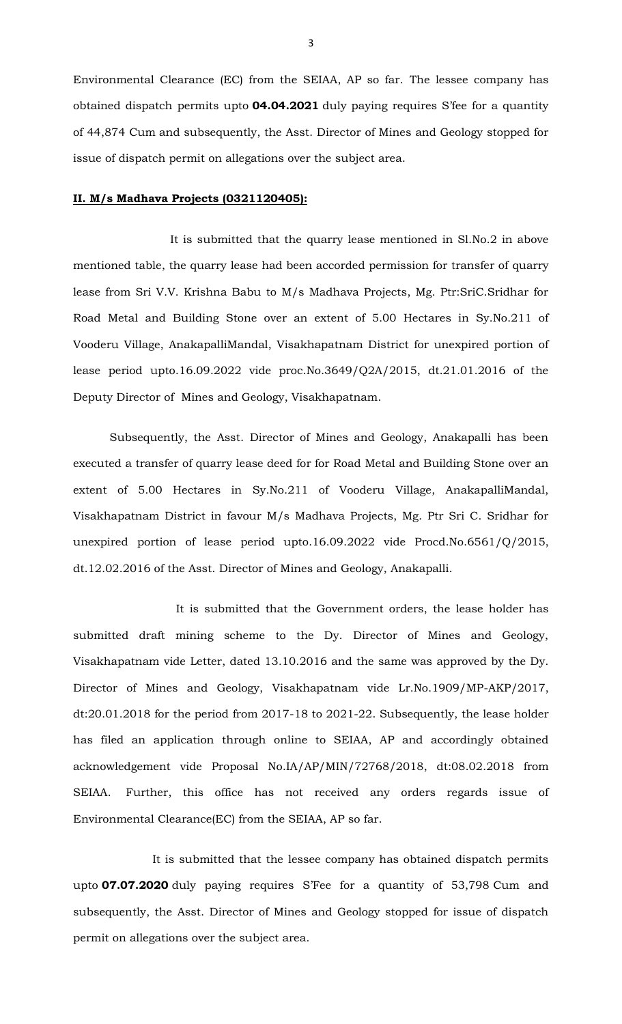Environmental Clearance (EC) from the SEIAA, AP so far. The lessee company has obtained dispatch permits upto **04.04.2021** duly paying requires S'fee for a quantity of 44,874 Cum and subsequently, the Asst. Director of Mines and Geology stopped for issue of dispatch permit on allegations over the subject area.

#### **II. M/s Madhava Projects (0321120405):**

 It is submitted that the quarry lease mentioned in Sl.No.2 in above mentioned table, the quarry lease had been accorded permission for transfer of quarry lease from Sri V.V. Krishna Babu to M/s Madhava Projects, Mg. Ptr:SriC.Sridhar for Road Metal and Building Stone over an extent of 5.00 Hectares in Sy.No.211 of Vooderu Village, AnakapalliMandal, Visakhapatnam District for unexpired portion of lease period upto.16.09.2022 vide proc.No.3649/Q2A/2015, dt.21.01.2016 of the Deputy Director of Mines and Geology, Visakhapatnam.

Subsequently, the Asst. Director of Mines and Geology, Anakapalli has been executed a transfer of quarry lease deed for for Road Metal and Building Stone over an extent of 5.00 Hectares in Sy.No.211 of Vooderu Village, AnakapalliMandal, Visakhapatnam District in favour M/s Madhava Projects, Mg. Ptr Sri C. Sridhar for unexpired portion of lease period upto.16.09.2022 vide Procd.No.6561/Q/2015, dt.12.02.2016 of the Asst. Director of Mines and Geology, Anakapalli.

 It is submitted that the Government orders, the lease holder has submitted draft mining scheme to the Dy. Director of Mines and Geology, Visakhapatnam vide Letter, dated 13.10.2016 and the same was approved by the Dy. Director of Mines and Geology, Visakhapatnam vide Lr.No.1909/MP-AKP/2017, dt:20.01.2018 for the period from 2017-18 to 2021-22. Subsequently, the lease holder has filed an application through online to SEIAA, AP and accordingly obtained acknowledgement vide Proposal No.IA/AP/MIN/72768/2018, dt:08.02.2018 from SEIAA. Further, this office has not received any orders regards issue of Environmental Clearance(EC) from the SEIAA, AP so far.

 It is submitted that the lessee company has obtained dispatch permits upto **07.07.2020** duly paying requires S'Fee for a quantity of 53,798 Cum and subsequently, the Asst. Director of Mines and Geology stopped for issue of dispatch permit on allegations over the subject area.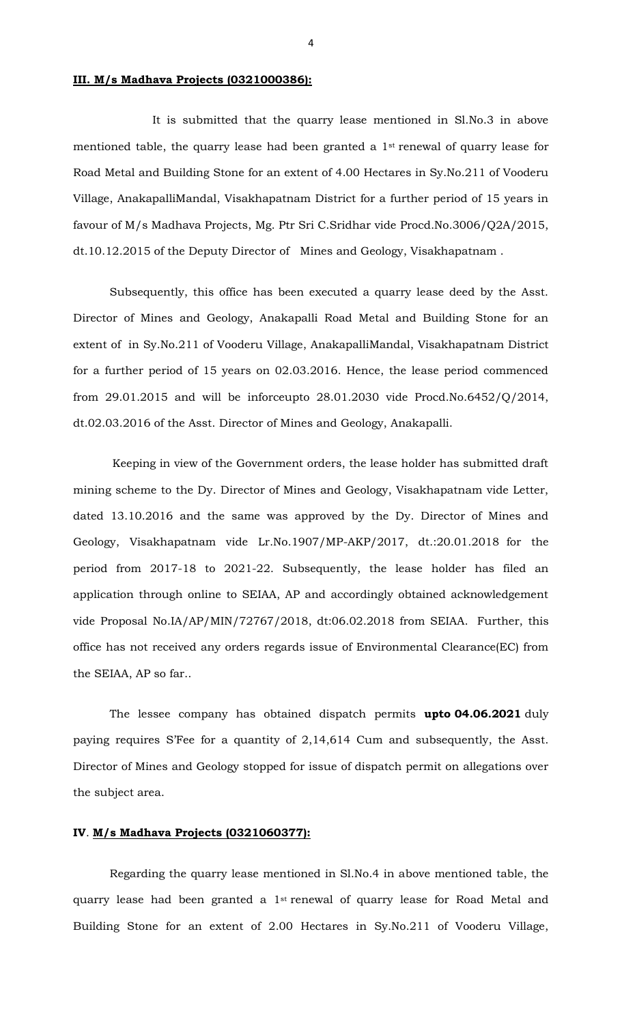## **III. M/s Madhava Projects (0321000386):**

 It is submitted that the quarry lease mentioned in Sl.No.3 in above mentioned table, the quarry lease had been granted a 1st renewal of quarry lease for Road Metal and Building Stone for an extent of 4.00 Hectares in Sy.No.211 of Vooderu Village, AnakapalliMandal, Visakhapatnam District for a further period of 15 years in favour of M/s Madhava Projects, Mg. Ptr Sri C.Sridhar vide Procd.No.3006/Q2A/2015, dt.10.12.2015 of the Deputy Director of Mines and Geology, Visakhapatnam .

Subsequently, this office has been executed a quarry lease deed by the Asst. Director of Mines and Geology, Anakapalli Road Metal and Building Stone for an extent of in Sy.No.211 of Vooderu Village, AnakapalliMandal, Visakhapatnam District for a further period of 15 years on 02.03.2016. Hence, the lease period commenced from 29.01.2015 and will be inforceupto 28.01.2030 vide Procd.No.6452/Q/2014, dt.02.03.2016 of the Asst. Director of Mines and Geology, Anakapalli.

 Keeping in view of the Government orders, the lease holder has submitted draft mining scheme to the Dy. Director of Mines and Geology, Visakhapatnam vide Letter, dated 13.10.2016 and the same was approved by the Dy. Director of Mines and Geology, Visakhapatnam vide Lr.No.1907/MP-AKP/2017, dt.:20.01.2018 for the period from 2017-18 to 2021-22. Subsequently, the lease holder has filed an application through online to SEIAA, AP and accordingly obtained acknowledgement vide Proposal No.IA/AP/MIN/72767/2018, dt:06.02.2018 from SEIAA. Further, this office has not received any orders regards issue of Environmental Clearance(EC) from the SEIAA, AP so far..

The lessee company has obtained dispatch permits **upto 04.06.2021** duly paying requires S'Fee for a quantity of 2,14,614 Cum and subsequently, the Asst. Director of Mines and Geology stopped for issue of dispatch permit on allegations over the subject area.

## **IV**. **M/s Madhava Projects (0321060377):**

Regarding the quarry lease mentioned in Sl.No.4 in above mentioned table, the quarry lease had been granted a 1st renewal of quarry lease for Road Metal and Building Stone for an extent of 2.00 Hectares in Sy.No.211 of Vooderu Village,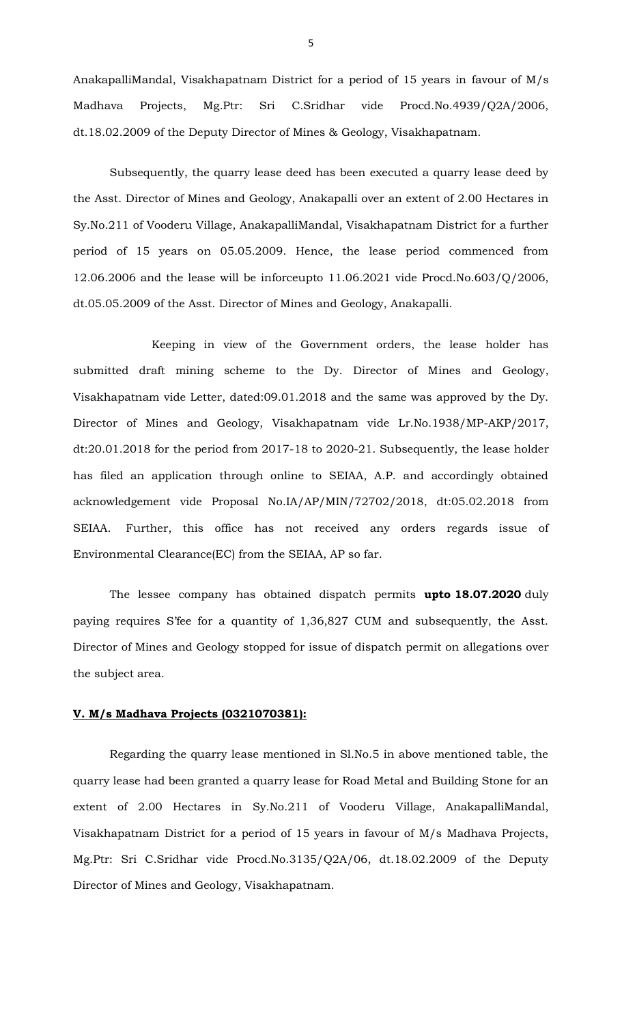AnakapalliMandal, Visakhapatnam District for a period of 15 years in favour of M/s Madhava Projects, Mg.Ptr: Sri C.Sridhar vide Procd.No.4939/Q2A/2006, dt.18.02.2009 of the Deputy Director of Mines & Geology, Visakhapatnam.

Subsequently, the quarry lease deed has been executed a quarry lease deed by the Asst. Director of Mines and Geology, Anakapalli over an extent of 2.00 Hectares in Sy.No.211 of Vooderu Village, AnakapalliMandal, Visakhapatnam District for a further period of 15 years on 05.05.2009. Hence, the lease period commenced from 12.06.2006 and the lease will be inforceupto 11.06.2021 vide Procd.No.603/Q/2006, dt.05.05.2009 of the Asst. Director of Mines and Geology, Anakapalli.

 Keeping in view of the Government orders, the lease holder has submitted draft mining scheme to the Dy. Director of Mines and Geology, Visakhapatnam vide Letter, dated:09.01.2018 and the same was approved by the Dy. Director of Mines and Geology, Visakhapatnam vide Lr.No.1938/MP-AKP/2017, dt:20.01.2018 for the period from 2017-18 to 2020-21. Subsequently, the lease holder has filed an application through online to SEIAA, A.P. and accordingly obtained acknowledgement vide Proposal No.IA/AP/MIN/72702/2018, dt:05.02.2018 from SEIAA. Further, this office has not received any orders regards issue of Environmental Clearance(EC) from the SEIAA, AP so far.

The lessee company has obtained dispatch permits **upto 18.07.2020** duly paying requires S'fee for a quantity of 1,36,827 CUM and subsequently, the Asst. Director of Mines and Geology stopped for issue of dispatch permit on allegations over the subject area.

## **V. M/s Madhava Projects (0321070381):**

Regarding the quarry lease mentioned in Sl.No.5 in above mentioned table, the quarry lease had been granted a quarry lease for Road Metal and Building Stone for an extent of 2.00 Hectares in Sy.No.211 of Vooderu Village, AnakapalliMandal, Visakhapatnam District for a period of 15 years in favour of M/s Madhava Projects, Mg.Ptr: Sri C.Sridhar vide Procd.No.3135/Q2A/06, dt.18.02.2009 of the Deputy Director of Mines and Geology, Visakhapatnam.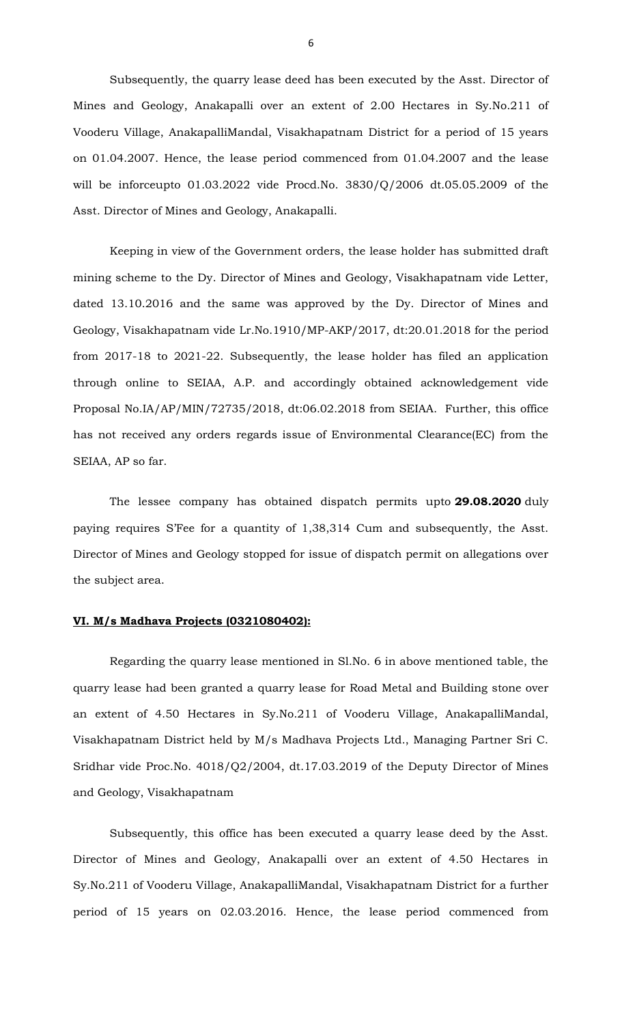Subsequently, the quarry lease deed has been executed by the Asst. Director of Mines and Geology, Anakapalli over an extent of 2.00 Hectares in Sy.No.211 of Vooderu Village, AnakapalliMandal, Visakhapatnam District for a period of 15 years on 01.04.2007. Hence, the lease period commenced from 01.04.2007 and the lease will be inforceupto 01.03.2022 vide Procd.No. 3830/Q/2006 dt.05.05.2009 of the Asst. Director of Mines and Geology, Anakapalli.

Keeping in view of the Government orders, the lease holder has submitted draft mining scheme to the Dy. Director of Mines and Geology, Visakhapatnam vide Letter, dated 13.10.2016 and the same was approved by the Dy. Director of Mines and Geology, Visakhapatnam vide Lr.No.1910/MP-AKP/2017, dt:20.01.2018 for the period from 2017-18 to 2021-22. Subsequently, the lease holder has filed an application through online to SEIAA, A.P. and accordingly obtained acknowledgement vide Proposal No.IA/AP/MIN/72735/2018, dt:06.02.2018 from SEIAA. Further, this office has not received any orders regards issue of Environmental Clearance(EC) from the SEIAA, AP so far.

The lessee company has obtained dispatch permits upto **29.08.2020** duly paying requires S'Fee for a quantity of 1,38,314 Cum and subsequently, the Asst. Director of Mines and Geology stopped for issue of dispatch permit on allegations over the subject area.

### **VI. M/s Madhava Projects (0321080402):**

Regarding the quarry lease mentioned in Sl.No. 6 in above mentioned table, the quarry lease had been granted a quarry lease for Road Metal and Building stone over an extent of 4.50 Hectares in Sy.No.211 of Vooderu Village, AnakapalliMandal, Visakhapatnam District held by M/s Madhava Projects Ltd., Managing Partner Sri C. Sridhar vide Proc.No. 4018/Q2/2004, dt.17.03.2019 of the Deputy Director of Mines and Geology, Visakhapatnam

Subsequently, this office has been executed a quarry lease deed by the Asst. Director of Mines and Geology, Anakapalli over an extent of 4.50 Hectares in Sy.No.211 of Vooderu Village, AnakapalliMandal, Visakhapatnam District for a further period of 15 years on 02.03.2016. Hence, the lease period commenced from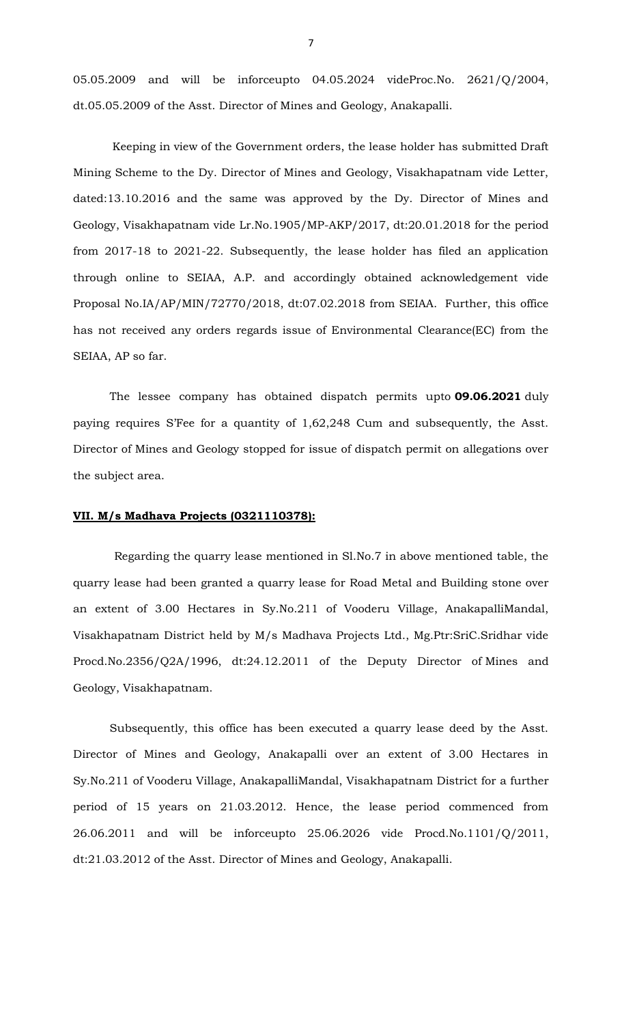05.05.2009 and will be inforceupto 04.05.2024 videProc.No. 2621/Q/2004, dt.05.05.2009 of the Asst. Director of Mines and Geology, Anakapalli.

 Keeping in view of the Government orders, the lease holder has submitted Draft Mining Scheme to the Dy. Director of Mines and Geology, Visakhapatnam vide Letter, dated:13.10.2016 and the same was approved by the Dy. Director of Mines and Geology, Visakhapatnam vide Lr.No.1905/MP-AKP/2017, dt:20.01.2018 for the period from 2017-18 to 2021-22. Subsequently, the lease holder has filed an application through online to SEIAA, A.P. and accordingly obtained acknowledgement vide Proposal No.IA/AP/MIN/72770/2018, dt:07.02.2018 from SEIAA. Further, this office has not received any orders regards issue of Environmental Clearance(EC) from the SEIAA, AP so far.

The lessee company has obtained dispatch permits upto **09.06.2021** duly paying requires S'Fee for a quantity of 1,62,248 Cum and subsequently, the Asst. Director of Mines and Geology stopped for issue of dispatch permit on allegations over the subject area.

## **VII. M/s Madhava Projects (0321110378):**

Regarding the quarry lease mentioned in Sl.No.7 in above mentioned table, the quarry lease had been granted a quarry lease for Road Metal and Building stone over an extent of 3.00 Hectares in Sy.No.211 of Vooderu Village, AnakapalliMandal, Visakhapatnam District held by M/s Madhava Projects Ltd., Mg.Ptr:SriC.Sridhar vide Procd.No.2356/Q2A/1996, dt:24.12.2011 of the Deputy Director of Mines and Geology, Visakhapatnam.

Subsequently, this office has been executed a quarry lease deed by the Asst. Director of Mines and Geology, Anakapalli over an extent of 3.00 Hectares in Sy.No.211 of Vooderu Village, AnakapalliMandal, Visakhapatnam District for a further period of 15 years on 21.03.2012. Hence, the lease period commenced from 26.06.2011 and will be inforceupto 25.06.2026 vide Procd.No.1101/Q/2011, dt:21.03.2012 of the Asst. Director of Mines and Geology, Anakapalli.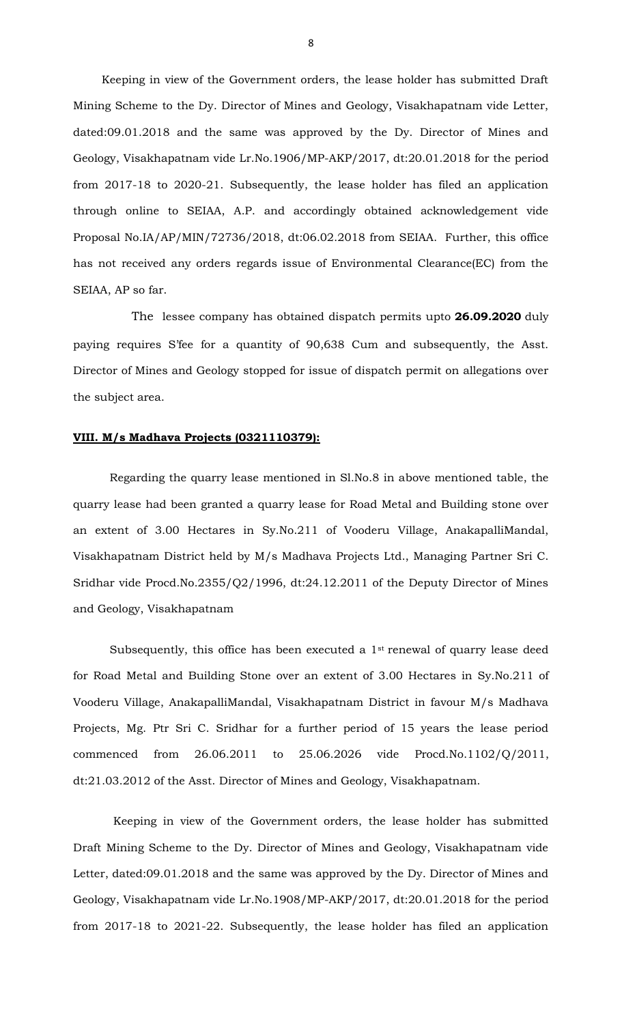Keeping in view of the Government orders, the lease holder has submitted Draft Mining Scheme to the Dy. Director of Mines and Geology, Visakhapatnam vide Letter, dated:09.01.2018 and the same was approved by the Dy. Director of Mines and Geology, Visakhapatnam vide Lr.No.1906/MP-AKP/2017, dt:20.01.2018 for the period from 2017-18 to 2020-21. Subsequently, the lease holder has filed an application through online to SEIAA, A.P. and accordingly obtained acknowledgement vide Proposal No.IA/AP/MIN/72736/2018, dt:06.02.2018 from SEIAA. Further, this office has not received any orders regards issue of Environmental Clearance(EC) from the SEIAA, AP so far.

 The lessee company has obtained dispatch permits upto **26.09.2020** duly paying requires S'fee for a quantity of 90,638 Cum and subsequently, the Asst. Director of Mines and Geology stopped for issue of dispatch permit on allegations over the subject area.

#### **VIII. M/s Madhava Projects (0321110379):**

Regarding the quarry lease mentioned in Sl.No.8 in above mentioned table, the quarry lease had been granted a quarry lease for Road Metal and Building stone over an extent of 3.00 Hectares in Sy.No.211 of Vooderu Village, AnakapalliMandal, Visakhapatnam District held by M/s Madhava Projects Ltd., Managing Partner Sri C. Sridhar vide Procd.No.2355/Q2/1996, dt:24.12.2011 of the Deputy Director of Mines and Geology, Visakhapatnam

Subsequently, this office has been executed a 1<sup>st</sup> renewal of quarry lease deed for Road Metal and Building Stone over an extent of 3.00 Hectares in Sy.No.211 of Vooderu Village, AnakapalliMandal, Visakhapatnam District in favour M/s Madhava Projects, Mg. Ptr Sri C. Sridhar for a further period of 15 years the lease period commenced from 26.06.2011 to 25.06.2026 vide Procd.No.1102/Q/2011, dt:21.03.2012 of the Asst. Director of Mines and Geology, Visakhapatnam.

Keeping in view of the Government orders, the lease holder has submitted Draft Mining Scheme to the Dy. Director of Mines and Geology, Visakhapatnam vide Letter, dated:09.01.2018 and the same was approved by the Dy. Director of Mines and Geology, Visakhapatnam vide Lr.No.1908/MP-AKP/2017, dt:20.01.2018 for the period from 2017-18 to 2021-22. Subsequently, the lease holder has filed an application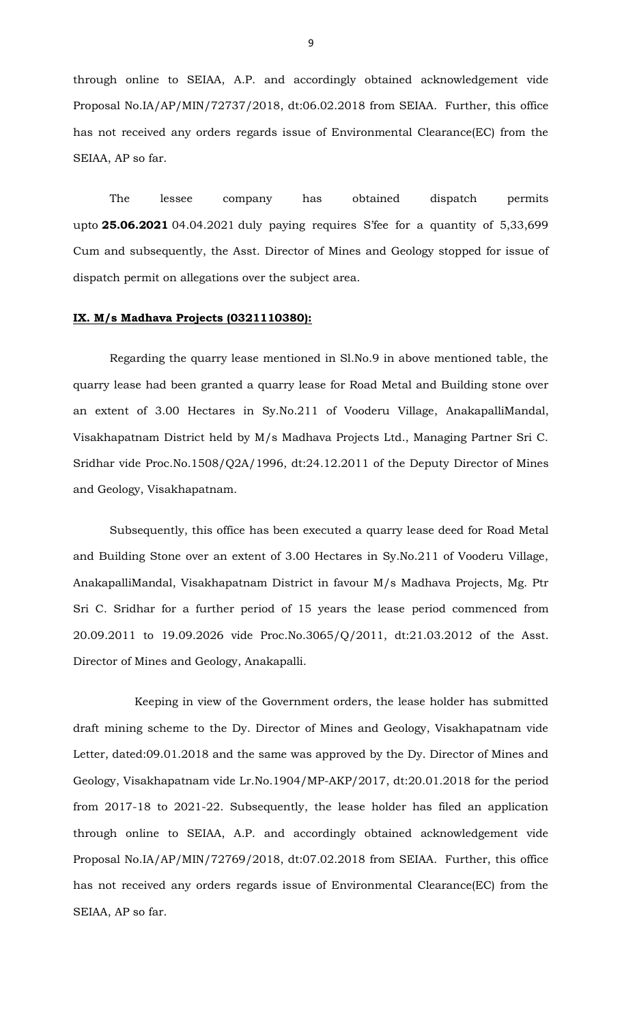through online to SEIAA, A.P. and accordingly obtained acknowledgement vide Proposal No.IA/AP/MIN/72737/2018, dt:06.02.2018 from SEIAA. Further, this office has not received any orders regards issue of Environmental Clearance(EC) from the SEIAA, AP so far.

The lessee company has obtained dispatch permits upto **25.06.2021** 04.04.2021 duly paying requires S'fee for a quantity of 5,33,699 Cum and subsequently, the Asst. Director of Mines and Geology stopped for issue of dispatch permit on allegations over the subject area.

#### **IX. M/s Madhava Projects (0321110380):**

Regarding the quarry lease mentioned in Sl.No.9 in above mentioned table, the quarry lease had been granted a quarry lease for Road Metal and Building stone over an extent of 3.00 Hectares in Sy.No.211 of Vooderu Village, AnakapalliMandal, Visakhapatnam District held by M/s Madhava Projects Ltd., Managing Partner Sri C. Sridhar vide Proc.No.1508/Q2A/1996, dt:24.12.2011 of the Deputy Director of Mines and Geology, Visakhapatnam.

Subsequently, this office has been executed a quarry lease deed for Road Metal and Building Stone over an extent of 3.00 Hectares in Sy.No.211 of Vooderu Village, AnakapalliMandal, Visakhapatnam District in favour M/s Madhava Projects, Mg. Ptr Sri C. Sridhar for a further period of 15 years the lease period commenced from 20.09.2011 to 19.09.2026 vide Proc.No.3065/Q/2011, dt:21.03.2012 of the Asst. Director of Mines and Geology, Anakapalli.

 Keeping in view of the Government orders, the lease holder has submitted draft mining scheme to the Dy. Director of Mines and Geology, Visakhapatnam vide Letter, dated:09.01.2018 and the same was approved by the Dy. Director of Mines and Geology, Visakhapatnam vide Lr.No.1904/MP-AKP/2017, dt:20.01.2018 for the period from 2017-18 to 2021-22. Subsequently, the lease holder has filed an application through online to SEIAA, A.P. and accordingly obtained acknowledgement vide Proposal No.IA/AP/MIN/72769/2018, dt:07.02.2018 from SEIAA. Further, this office has not received any orders regards issue of Environmental Clearance(EC) from the SEIAA, AP so far.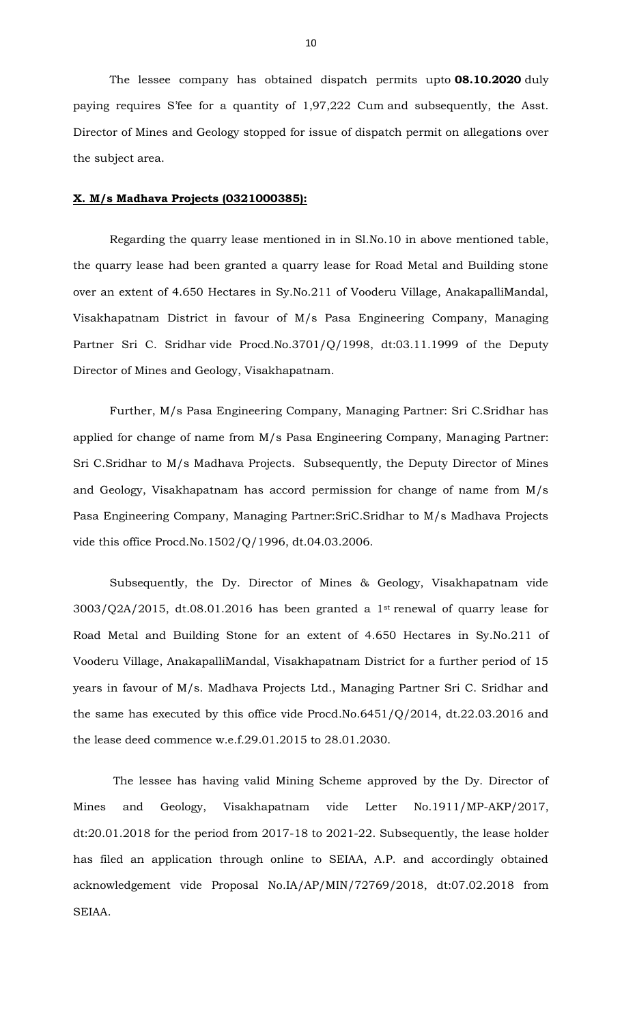The lessee company has obtained dispatch permits upto **08.10.2020** duly paying requires S'fee for a quantity of 1,97,222 Cum and subsequently, the Asst. Director of Mines and Geology stopped for issue of dispatch permit on allegations over the subject area.

#### **X. M/s Madhava Projects (0321000385):**

Regarding the quarry lease mentioned in in Sl.No.10 in above mentioned table, the quarry lease had been granted a quarry lease for Road Metal and Building stone over an extent of 4.650 Hectares in Sy.No.211 of Vooderu Village, AnakapalliMandal, Visakhapatnam District in favour of M/s Pasa Engineering Company, Managing Partner Sri C. Sridhar vide Procd.No.3701/Q/1998, dt:03.11.1999 of the Deputy Director of Mines and Geology, Visakhapatnam.

Further, M/s Pasa Engineering Company, Managing Partner: Sri C.Sridhar has applied for change of name from M/s Pasa Engineering Company, Managing Partner: Sri C.Sridhar to M/s Madhava Projects. Subsequently, the Deputy Director of Mines and Geology, Visakhapatnam has accord permission for change of name from M/s Pasa Engineering Company, Managing Partner:SriC.Sridhar to M/s Madhava Projects vide this office Procd.No.1502/Q/1996, dt.04.03.2006.

Subsequently, the Dy. Director of Mines & Geology, Visakhapatnam vide  $3003/Q2A/2015$ , dt.08.01.2016 has been granted a 1<sup>st</sup> renewal of quarry lease for Road Metal and Building Stone for an extent of 4.650 Hectares in Sy.No.211 of Vooderu Village, AnakapalliMandal, Visakhapatnam District for a further period of 15 years in favour of M/s. Madhava Projects Ltd., Managing Partner Sri C. Sridhar and the same has executed by this office vide Procd.No.6451/Q/2014, dt.22.03.2016 and the lease deed commence w.e.f.29.01.2015 to 28.01.2030.

The lessee has having valid Mining Scheme approved by the Dy. Director of Mines and Geology, Visakhapatnam vide Letter No.1911/MP-AKP/2017, dt:20.01.2018 for the period from 2017-18 to 2021-22. Subsequently, the lease holder has filed an application through online to SEIAA, A.P. and accordingly obtained acknowledgement vide Proposal No.IA/AP/MIN/72769/2018, dt:07.02.2018 from SEIAA.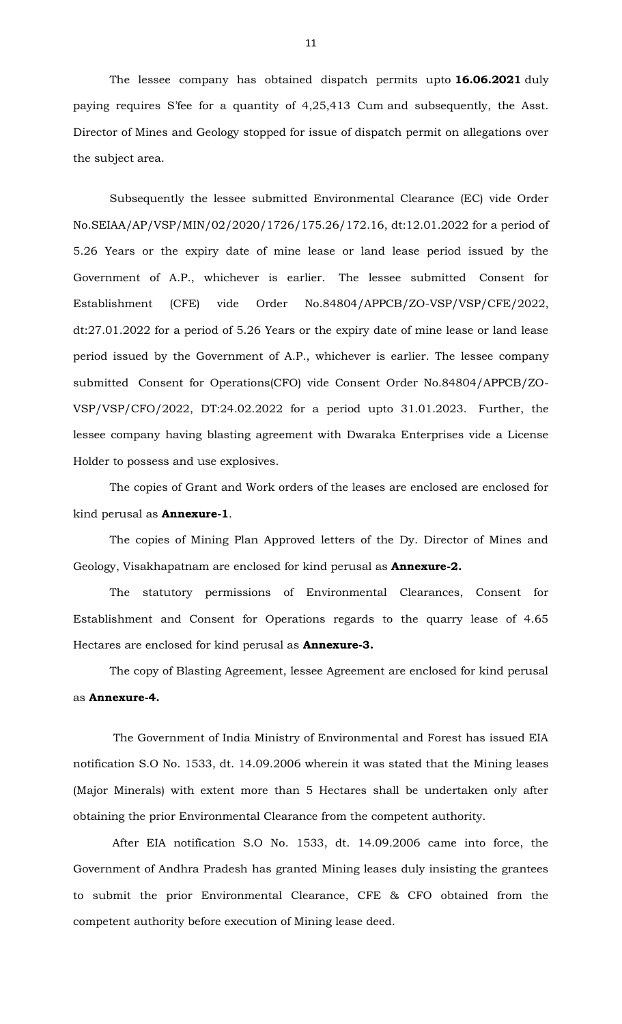The lessee company has obtained dispatch permits upto **16.06.2021** duly paying requires S'fee for a quantity of 4,25,413 Cum and subsequently, the Asst. Director of Mines and Geology stopped for issue of dispatch permit on allegations over the subject area.

Subsequently the lessee submitted Environmental Clearance (EC) vide Order No.SEIAA/AP/VSP/MIN/02/2020/1726/175.26/172.16, dt:12.01.2022 for a period of 5.26 Years or the expiry date of mine lease or land lease period issued by the Government of A.P., whichever is earlier. The lessee submitted Consent for Establishment (CFE) vide Order No.84804/APPCB/ZO-VSP/VSP/CFE/2022, dt:27.01.2022 for a period of 5.26 Years or the expiry date of mine lease or land lease period issued by the Government of A.P., whichever is earlier. The lessee company submitted Consent for Operations(CFO) vide Consent Order No.84804/APPCB/ZO-VSP/VSP/CFO/2022, DT:24.02.2022 for a period upto 31.01.2023. Further, the lessee company having blasting agreement with Dwaraka Enterprises vide a License Holder to possess and use explosives.

The copies of Grant and Work orders of the leases are enclosed are enclosed for kind perusal as **Annexure-1**.

The copies of Mining Plan Approved letters of the Dy. Director of Mines and Geology, Visakhapatnam are enclosed for kind perusal as **Annexure-2.** 

The statutory permissions of Environmental Clearances, Consent for Establishment and Consent for Operations regards to the quarry lease of 4.65 Hectares are enclosed for kind perusal as **Annexure-3.** 

The copy of Blasting Agreement, lessee Agreement are enclosed for kind perusal as **Annexure-4.**

The Government of India Ministry of Environmental and Forest has issued EIA notification S.O No. 1533, dt. 14.09.2006 wherein it was stated that the Mining leases (Major Minerals) with extent more than 5 Hectares shall be undertaken only after obtaining the prior Environmental Clearance from the competent authority.

 After EIA notification S.O No. 1533, dt. 14.09.2006 came into force, the Government of Andhra Pradesh has granted Mining leases duly insisting the grantees to submit the prior Environmental Clearance, CFE & CFO obtained from the competent authority before execution of Mining lease deed.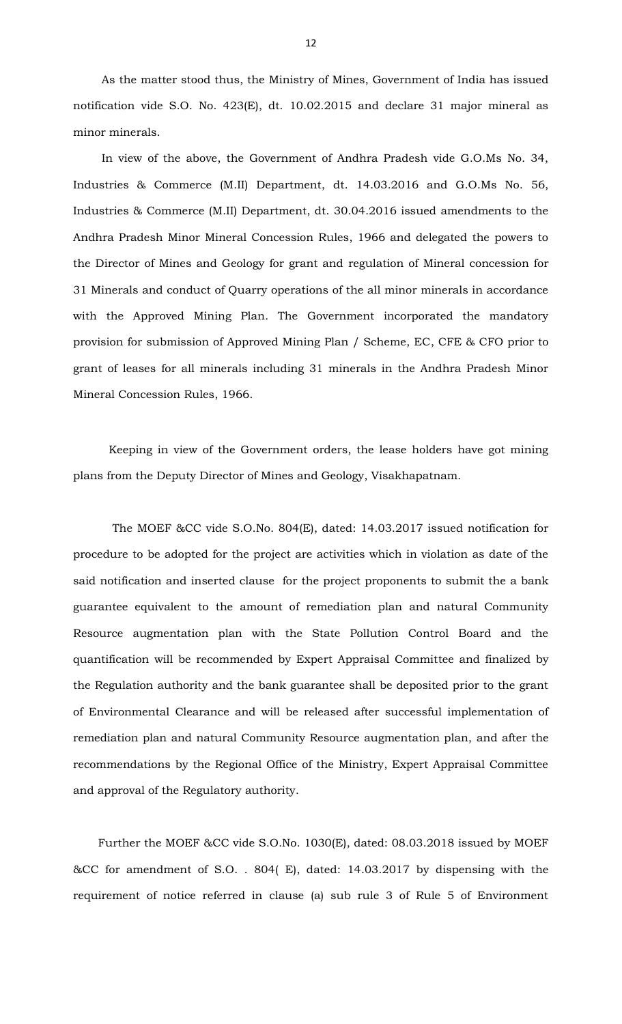As the matter stood thus, the Ministry of Mines, Government of India has issued notification vide S.O. No. 423(E), dt. 10.02.2015 and declare 31 major mineral as minor minerals.

 In view of the above, the Government of Andhra Pradesh vide G.O.Ms No. 34, Industries & Commerce (M.II) Department, dt. 14.03.2016 and G.O.Ms No. 56, Industries & Commerce (M.II) Department, dt. 30.04.2016 issued amendments to the Andhra Pradesh Minor Mineral Concession Rules, 1966 and delegated the powers to the Director of Mines and Geology for grant and regulation of Mineral concession for 31 Minerals and conduct of Quarry operations of the all minor minerals in accordance with the Approved Mining Plan. The Government incorporated the mandatory provision for submission of Approved Mining Plan / Scheme, EC, CFE & CFO prior to grant of leases for all minerals including 31 minerals in the Andhra Pradesh Minor Mineral Concession Rules, 1966.

 Keeping in view of the Government orders, the lease holders have got mining plans from the Deputy Director of Mines and Geology, Visakhapatnam.

 The MOEF &CC vide S.O.No. 804(E), dated: 14.03.2017 issued notification for procedure to be adopted for the project are activities which in violation as date of the said notification and inserted clause for the project proponents to submit the a bank guarantee equivalent to the amount of remediation plan and natural Community Resource augmentation plan with the State Pollution Control Board and the quantification will be recommended by Expert Appraisal Committee and finalized by the Regulation authority and the bank guarantee shall be deposited prior to the grant of Environmental Clearance and will be released after successful implementation of remediation plan and natural Community Resource augmentation plan, and after the recommendations by the Regional Office of the Ministry, Expert Appraisal Committee and approval of the Regulatory authority.

 Further the MOEF &CC vide S.O.No. 1030(E), dated: 08.03.2018 issued by MOEF &CC for amendment of S.O. . 804( E), dated: 14.03.2017 by dispensing with the requirement of notice referred in clause (a) sub rule 3 of Rule 5 of Environment

12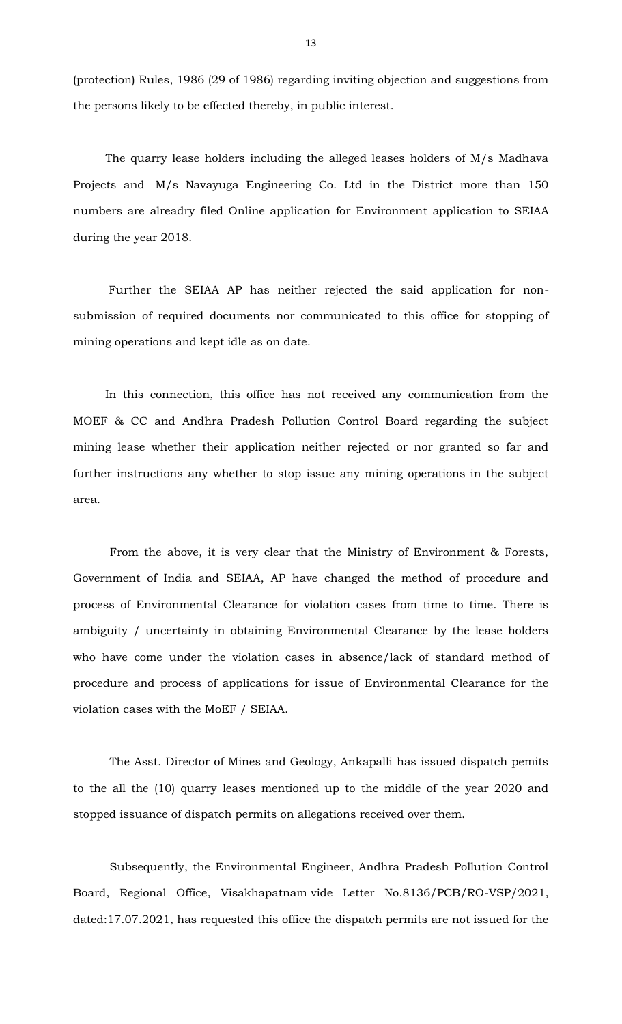(protection) Rules, 1986 (29 of 1986) regarding inviting objection and suggestions from the persons likely to be effected thereby, in public interest.

 The quarry lease holders including the alleged leases holders of M/s Madhava Projects and M/s Navayuga Engineering Co. Ltd in the District more than 150 numbers are alreadry filed Online application for Environment application to SEIAA during the year 2018.

 Further the SEIAA AP has neither rejected the said application for nonsubmission of required documents nor communicated to this office for stopping of mining operations and kept idle as on date.

 In this connection, this office has not received any communication from the MOEF & CC and Andhra Pradesh Pollution Control Board regarding the subject mining lease whether their application neither rejected or nor granted so far and further instructions any whether to stop issue any mining operations in the subject area.

From the above, it is very clear that the Ministry of Environment & Forests, Government of India and SEIAA, AP have changed the method of procedure and process of Environmental Clearance for violation cases from time to time. There is ambiguity / uncertainty in obtaining Environmental Clearance by the lease holders who have come under the violation cases in absence/lack of standard method of procedure and process of applications for issue of Environmental Clearance for the violation cases with the MoEF / SEIAA.

The Asst. Director of Mines and Geology, Ankapalli has issued dispatch pemits to the all the (10) quarry leases mentioned up to the middle of the year 2020 and stopped issuance of dispatch permits on allegations received over them.

Subsequently, the Environmental Engineer, Andhra Pradesh Pollution Control Board, Regional Office, Visakhapatnam vide Letter No.8136/PCB/RO-VSP/2021, dated:17.07.2021, has requested this office the dispatch permits are not issued for the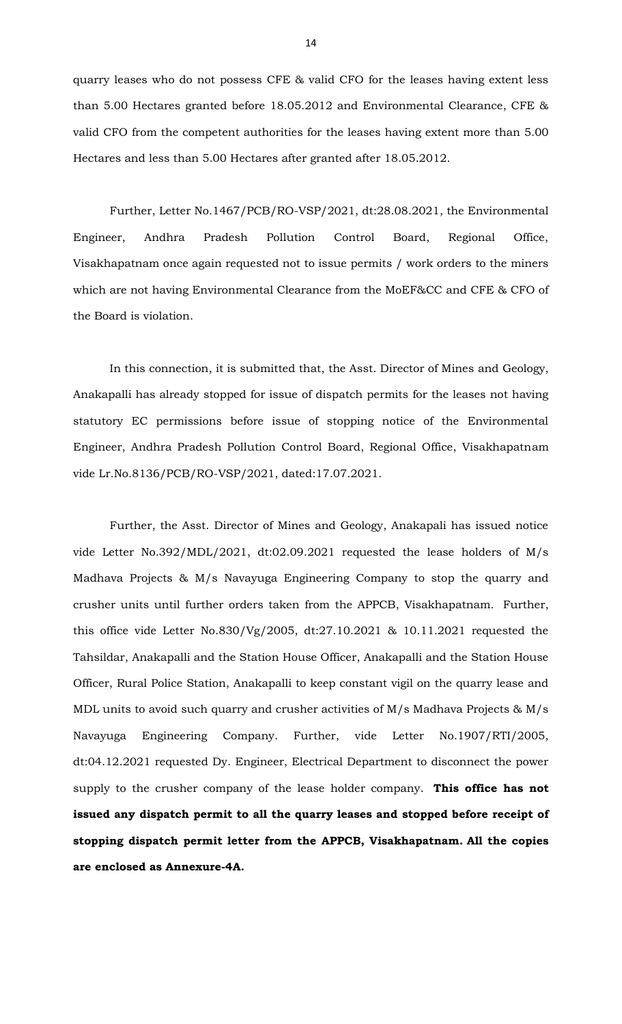quarry leases who do not possess CFE & valid CFO for the leases having extent less than 5.00 Hectares granted before 18.05.2012 and Environmental Clearance, CFE & valid CFO from the competent authorities for the leases having extent more than 5.00 Hectares and less than 5.00 Hectares after granted after 18.05.2012.

Further, Letter No.1467/PCB/RO-VSP/2021, dt:28.08.2021, the Environmental Engineer, Andhra Pradesh Pollution Control Board, Regional Office, Visakhapatnam once again requested not to issue permits / work orders to the miners which are not having Environmental Clearance from the MoEF&CC and CFE & CFO of the Board is violation.

In this connection, it is submitted that, the Asst. Director of Mines and Geology, Anakapalli has already stopped for issue of dispatch permits for the leases not having statutory EC permissions before issue of stopping notice of the Environmental Engineer, Andhra Pradesh Pollution Control Board, Regional Office, Visakhapatnam vide Lr.No.8136/PCB/RO-VSP/2021, dated:17.07.2021.

Further, the Asst. Director of Mines and Geology, Anakapali has issued notice vide Letter No.392/MDL/2021, dt:02.09.2021 requested the lease holders of M/s Madhava Projects & M/s Navayuga Engineering Company to stop the quarry and crusher units until further orders taken from the APPCB, Visakhapatnam. Further, this office vide Letter No.830/Vg/2005, dt:27.10.2021 & 10.11.2021 requested the Tahsildar, Anakapalli and the Station House Officer, Anakapalli and the Station House Officer, Rural Police Station, Anakapalli to keep constant vigil on the quarry lease and MDL units to avoid such quarry and crusher activities of M/s Madhava Projects & M/s Navayuga Engineering Company. Further, vide Letter No.1907/RTI/2005, dt:04.12.2021 requested Dy. Engineer, Electrical Department to disconnect the power supply to the crusher company of the lease holder company. **This office has not issued any dispatch permit to all the quarry leases and stopped before receipt of stopping dispatch permit letter from the APPCB, Visakhapatnam. All the copies are enclosed as Annexure-4A.**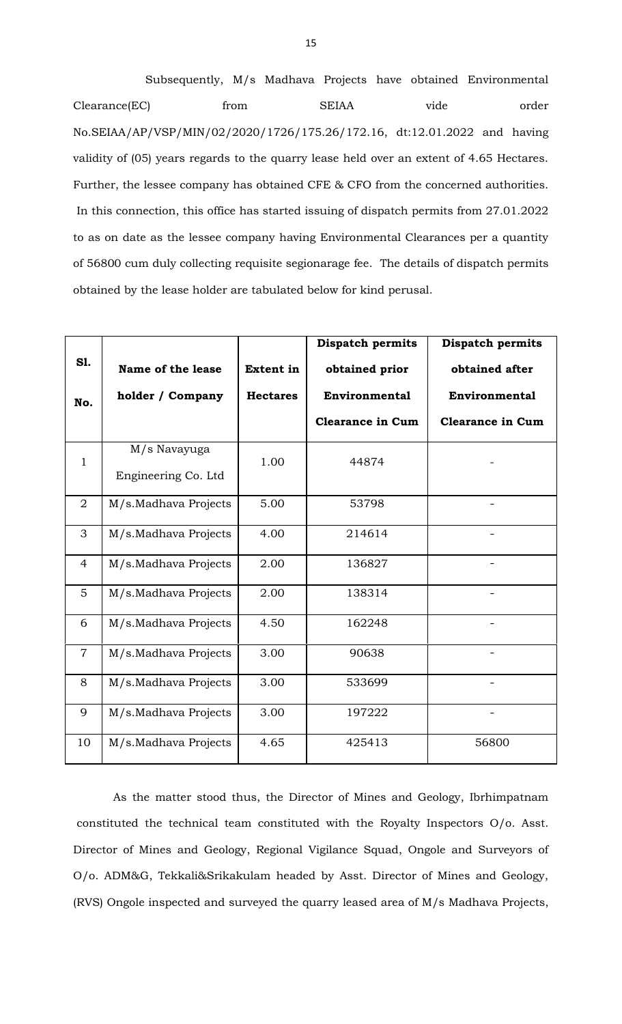Subsequently, M/s Madhava Projects have obtained Environmental Clearance(EC) from SEIAA vide order No.SEIAA/AP/VSP/MIN/02/2020/1726/175.26/172.16, dt:12.01.2022 and having validity of (05) years regards to the quarry lease held over an extent of 4.65 Hectares. Further, the lessee company has obtained CFE & CFO from the concerned authorities. In this connection, this office has started issuing of dispatch permits from 27.01.2022 to as on date as the lessee company having Environmental Clearances per a quantity of 56800 cum duly collecting requisite segionarage fee. The details of dispatch permits obtained by the lease holder are tabulated below for kind perusal.

|                |                      |                  | <b>Dispatch permits</b> | <b>Dispatch permits</b> |
|----------------|----------------------|------------------|-------------------------|-------------------------|
| S1.            | Name of the lease    | <b>Extent in</b> | obtained prior          | obtained after          |
| No.            | holder / Company     | <b>Hectares</b>  | <b>Environmental</b>    | <b>Environmental</b>    |
|                |                      |                  | <b>Clearance in Cum</b> | <b>Clearance in Cum</b> |
| 1              | M/s Navayuga         | 1.00             | 44874                   |                         |
|                | Engineering Co. Ltd  |                  |                         |                         |
| $\overline{2}$ | M/s.Madhava Projects | 5.00             | 53798                   |                         |
| 3              | M/s.Madhava Projects | 4.00             | 214614                  | $\blacksquare$          |
| $\overline{4}$ | M/s.Madhava Projects | 2.00             | 136827                  | $\overline{a}$          |
| $\overline{5}$ | M/s.Madhava Projects | 2.00             | 138314                  |                         |
| 6              | M/s.Madhava Projects | 4.50             | 162248                  |                         |
| $\overline{7}$ | M/s.Madhava Projects | 3.00             | 90638                   |                         |
| 8              | M/s.Madhava Projects | 3.00             | 533699                  |                         |
| 9              | M/s.Madhava Projects | 3.00             | 197222                  | $\qquad \qquad -$       |
| 10             | M/s.Madhava Projects | 4.65             | 425413                  | 56800                   |

As the matter stood thus, the Director of Mines and Geology, Ibrhimpatnam constituted the technical team constituted with the Royalty Inspectors O/o. Asst. Director of Mines and Geology, Regional Vigilance Squad, Ongole and Surveyors of O/o. ADM&G, Tekkali&Srikakulam headed by Asst. Director of Mines and Geology, (RVS) Ongole inspected and surveyed the quarry leased area of M/s Madhava Projects,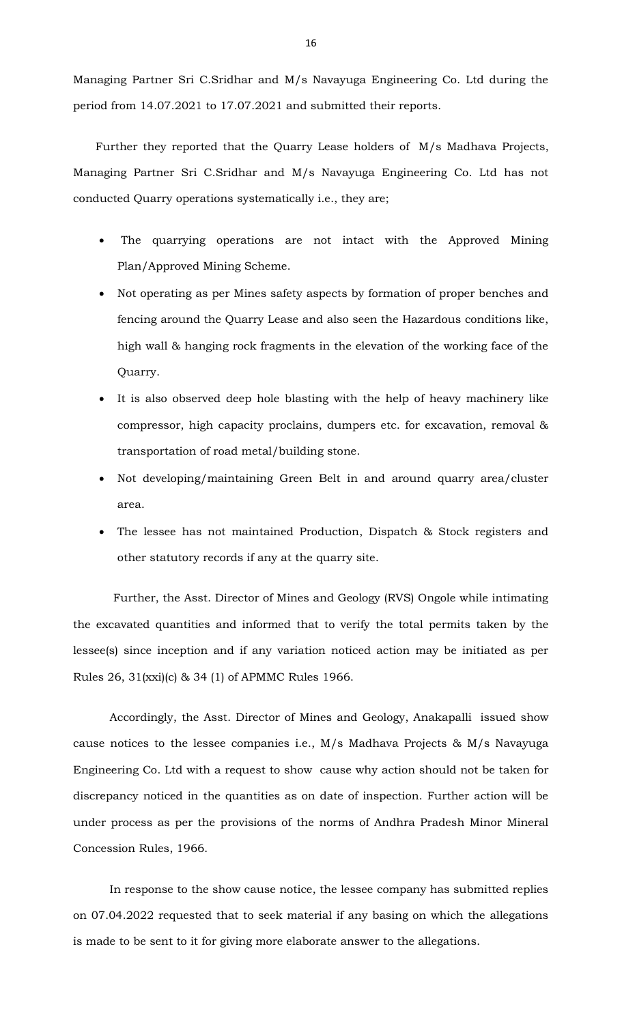Managing Partner Sri C.Sridhar and M/s Navayuga Engineering Co. Ltd during the period from 14.07.2021 to 17.07.2021 and submitted their reports.

Further they reported that the Quarry Lease holders of M/s Madhava Projects, Managing Partner Sri C.Sridhar and M/s Navayuga Engineering Co. Ltd has not conducted Quarry operations systematically i.e., they are;

- The quarrying operations are not intact with the Approved Mining Plan/Approved Mining Scheme.
- Not operating as per Mines safety aspects by formation of proper benches and fencing around the Quarry Lease and also seen the Hazardous conditions like, high wall & hanging rock fragments in the elevation of the working face of the Quarry.
- It is also observed deep hole blasting with the help of heavy machinery like compressor, high capacity proclains, dumpers etc. for excavation, removal & transportation of road metal/building stone.
- Not developing/maintaining Green Belt in and around quarry area/cluster area.
- The lessee has not maintained Production, Dispatch & Stock registers and other statutory records if any at the quarry site.

Further, the Asst. Director of Mines and Geology (RVS) Ongole while intimating the excavated quantities and informed that to verify the total permits taken by the lessee(s) since inception and if any variation noticed action may be initiated as per Rules 26, 31(xxi)(c) & 34 (1) of APMMC Rules 1966.

Accordingly, the Asst. Director of Mines and Geology, Anakapalli issued show cause notices to the lessee companies i.e., M/s Madhava Projects & M/s Navayuga Engineering Co. Ltd with a request to show cause why action should not be taken for discrepancy noticed in the quantities as on date of inspection. Further action will be under process as per the provisions of the norms of Andhra Pradesh Minor Mineral Concession Rules, 1966.

In response to the show cause notice, the lessee company has submitted replies on 07.04.2022 requested that to seek material if any basing on which the allegations is made to be sent to it for giving more elaborate answer to the allegations.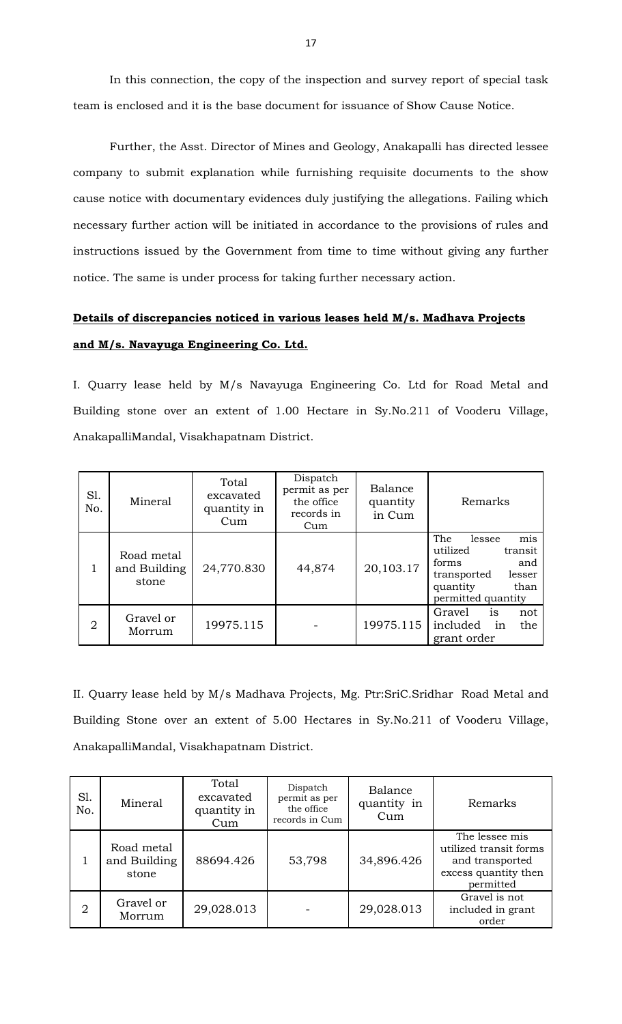In this connection, the copy of the inspection and survey report of special task team is enclosed and it is the base document for issuance of Show Cause Notice.

Further, the Asst. Director of Mines and Geology, Anakapalli has directed lessee company to submit explanation while furnishing requisite documents to the show cause notice with documentary evidences duly justifying the allegations. Failing which necessary further action will be initiated in accordance to the provisions of rules and instructions issued by the Government from time to time without giving any further notice. The same is under process for taking further necessary action.

# **Details of discrepancies noticed in various leases held M/s. Madhava Projects and M/s. Navayuga Engineering Co. Ltd.**

I. Quarry lease held by M/s Navayuga Engineering Co. Ltd for Road Metal and Building stone over an extent of 1.00 Hectare in Sy.No.211 of Vooderu Village, AnakapalliMandal, Visakhapatnam District.

| S1.<br>No. | Mineral                             | Total<br>excavated<br>quantity in<br>Cum | Dispatch<br>permit as per<br>the office<br>records in<br>Cum | Balance<br>quantity<br>in Cum | Remarks                                                                                                                        |
|------------|-------------------------------------|------------------------------------------|--------------------------------------------------------------|-------------------------------|--------------------------------------------------------------------------------------------------------------------------------|
| 1          | Road metal<br>and Building<br>stone | 24,770.830                               | 44,874                                                       | 20,103.17                     | The<br>lessee<br>mis<br>utilized<br>transit<br>forms<br>and<br>lesser<br>transported<br>quantity<br>than<br>permitted quantity |
| 2          | Gravel or<br>Morrum                 | 19975.115                                |                                                              | 19975.115                     | Gravel<br>not<br>is<br>in<br>included<br>the<br>grant order                                                                    |

II. Quarry lease held by M/s Madhava Projects, Mg. Ptr:SriC.Sridhar Road Metal and Building Stone over an extent of 5.00 Hectares in Sy.No.211 of Vooderu Village, AnakapalliMandal, Visakhapatnam District.

| S1.<br>No.     | Mineral                             | Total<br>excavated<br>quantity in<br>Cum | Dispatch<br>permit as per<br>the office<br>records in Cum | Balance<br>quantity in<br>Cum | Remarks                                                                                          |
|----------------|-------------------------------------|------------------------------------------|-----------------------------------------------------------|-------------------------------|--------------------------------------------------------------------------------------------------|
|                | Road metal<br>and Building<br>stone | 88694.426                                | 53,798                                                    | 34,896.426                    | The lessee mis<br>utilized transit forms<br>and transported<br>excess quantity then<br>permitted |
| $\overline{2}$ | Gravel or<br>Morrum                 | 29,028.013                               |                                                           | 29,028.013                    | Gravel is not<br>included in grant<br>order                                                      |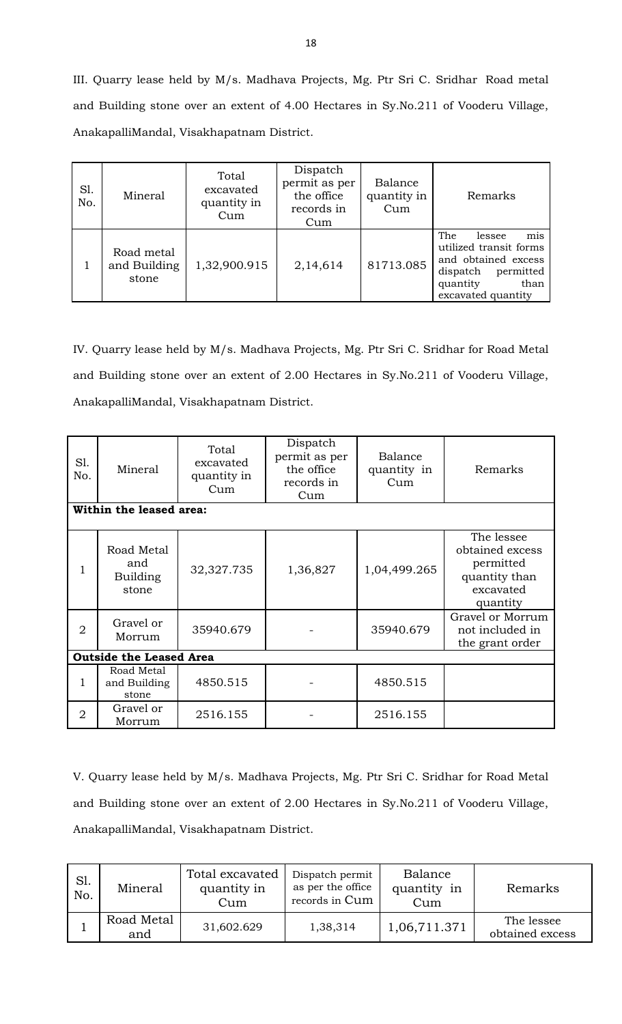III. Quarry lease held by M/s. Madhava Projects, Mg. Ptr Sri C. Sridhar Road metal and Building stone over an extent of 4.00 Hectares in Sy.No.211 of Vooderu Village, AnakapalliMandal, Visakhapatnam District.

| S1.<br>No. | Mineral                             | Total<br>excavated<br>quantity in<br>Cum | Dispatch<br>permit as per<br>the office<br>records in<br>Cum | Balance<br>quantity in<br>Cum | Remarks                                                                                                                                  |
|------------|-------------------------------------|------------------------------------------|--------------------------------------------------------------|-------------------------------|------------------------------------------------------------------------------------------------------------------------------------------|
|            | Road metal<br>and Building<br>stone | 1,32,900.915                             | 2,14,614                                                     | 81713.085                     | mis<br>The<br>lessee<br>utilized transit forms<br>and obtained excess<br>permitted<br>dispatch<br>quantity<br>than<br>excavated quantity |

IV. Quarry lease held by M/s. Madhava Projects, Mg. Ptr Sri C. Sridhar for Road Metal and Building stone over an extent of 2.00 Hectares in Sy.No.211 of Vooderu Village, AnakapalliMandal, Visakhapatnam District.

| Sl.<br>No.     | Mineral                                | Total<br>excavated<br>quantity in<br>Cum | Dispatch<br>permit as per<br>the office<br>records in<br>Cum | Balance<br>quantity in<br>Cum | Remarks                                                                              |
|----------------|----------------------------------------|------------------------------------------|--------------------------------------------------------------|-------------------------------|--------------------------------------------------------------------------------------|
|                | Within the leased area:                |                                          |                                                              |                               |                                                                                      |
| 1              | Road Metal<br>and<br>Building<br>stone | 32,327.735                               | 1,36,827                                                     | 1,04,499.265                  | The lessee<br>obtained excess<br>permitted<br>quantity than<br>excavated<br>quantity |
| $\overline{2}$ | Gravel or<br>Morrum                    | 35940.679                                |                                                              | 35940.679                     | Gravel or Morrum<br>not included in<br>the grant order                               |
|                | <b>Outside the Leased Area</b>         |                                          |                                                              |                               |                                                                                      |
| 1              | Road Metal<br>and Building<br>stone    | 4850.515                                 |                                                              | 4850.515                      |                                                                                      |
| $\overline{2}$ | Gravel or<br>Morrum                    | 2516.155                                 |                                                              | 2516.155                      |                                                                                      |

V. Quarry lease held by M/s. Madhava Projects, Mg. Ptr Sri C. Sridhar for Road Metal and Building stone over an extent of 2.00 Hectares in Sy.No.211 of Vooderu Village, AnakapalliMandal, Visakhapatnam District.

| Sl.<br>No. | Mineral           | Total excavated<br>quantity in<br>Cum | Dispatch permit<br>as per the office<br>records in Cum | Balance<br>quantity in<br>Cum | Remarks                       |
|------------|-------------------|---------------------------------------|--------------------------------------------------------|-------------------------------|-------------------------------|
|            | Road Metal<br>and | 31,602.629                            | 1,38,314                                               | 1,06,711.371                  | The lessee<br>obtained excess |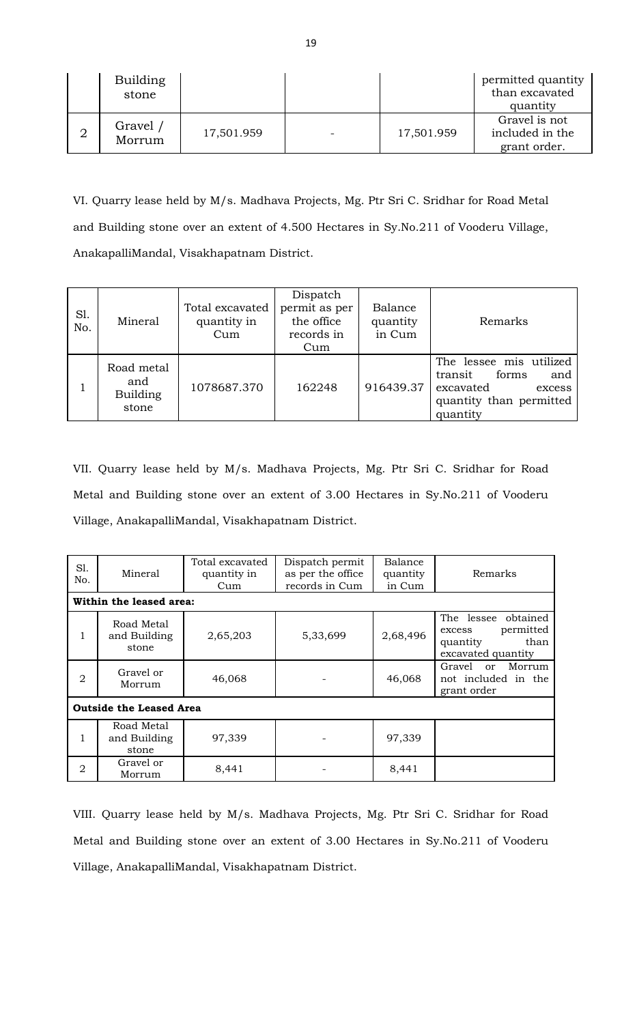|                | <b>Building</b><br>stone |            |            | permitted quantity<br>than excavated<br>quantity |
|----------------|--------------------------|------------|------------|--------------------------------------------------|
| $\overline{2}$ | Gravel /<br>Morrum       | 17,501.959 | 17,501.959 | Gravel is not<br>included in the<br>grant order. |

VI. Quarry lease held by M/s. Madhava Projects, Mg. Ptr Sri C. Sridhar for Road Metal and Building stone over an extent of 4.500 Hectares in Sy.No.211 of Vooderu Village, AnakapalliMandal, Visakhapatnam District.

| S1.<br>No. | Mineral                                       | Total excavated<br>quantity in<br>Cum | Dispatch<br>permit as per<br>the office<br>records in<br>Cum | Balance<br>quantity<br>in Cum | Remarks                                                                                                          |
|------------|-----------------------------------------------|---------------------------------------|--------------------------------------------------------------|-------------------------------|------------------------------------------------------------------------------------------------------------------|
|            | Road metal<br>and<br><b>Building</b><br>stone | 1078687.370                           | 162248                                                       | 916439.37                     | The lessee mis utilized<br>forms<br>transit<br>and<br>excavated<br>excess<br>quantity than permitted<br>quantity |

VII. Quarry lease held by M/s. Madhava Projects, Mg. Ptr Sri C. Sridhar for Road Metal and Building stone over an extent of 3.00 Hectares in Sy.No.211 of Vooderu Village, AnakapalliMandal, Visakhapatnam District.

| S1.<br>No.     | Mineral                             | Total excavated<br>quantity in<br>Cum | Dispatch permit<br>as per the office<br>records in Cum | Balance<br>quantity<br>in Cum | Remarks                                                                              |  |  |  |  |
|----------------|-------------------------------------|---------------------------------------|--------------------------------------------------------|-------------------------------|--------------------------------------------------------------------------------------|--|--|--|--|
|                | Within the leased area:             |                                       |                                                        |                               |                                                                                      |  |  |  |  |
| 1              | Road Metal<br>and Building<br>stone | 2,65,203                              | 5,33,699                                               | 2,68,496                      | The lessee obtained<br>permitted<br>excess<br>than<br>quantity<br>excavated quantity |  |  |  |  |
| $\overline{2}$ | Gravel or<br>Morrum                 | 46,068                                |                                                        | 46,068                        | Gravel<br>Morrum<br><sub>or</sub><br>not included in the<br>grant order              |  |  |  |  |
|                | <b>Outside the Leased Area</b>      |                                       |                                                        |                               |                                                                                      |  |  |  |  |
|                | Road Metal<br>and Building<br>stone | 97,339                                |                                                        | 97,339                        |                                                                                      |  |  |  |  |
| $\overline{2}$ | Gravel or<br>Morrum                 | 8,441                                 |                                                        | 8,441                         |                                                                                      |  |  |  |  |

VIII. Quarry lease held by M/s. Madhava Projects, Mg. Ptr Sri C. Sridhar for Road Metal and Building stone over an extent of 3.00 Hectares in Sy.No.211 of Vooderu Village, AnakapalliMandal, Visakhapatnam District.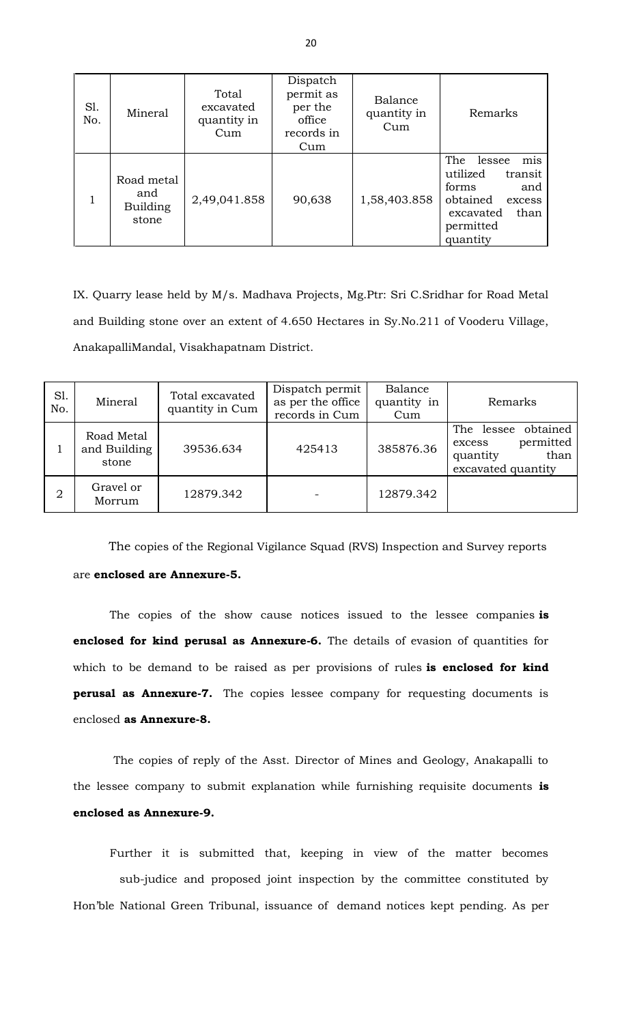| S1.<br>No. | Mineral                                | Total<br>excavated<br>quantity in<br>Cum | Dispatch<br>permit as<br>per the<br>office<br>records in<br>Cum | Balance<br>quantity in<br>Cum | Remarks                                                                                                                         |
|------------|----------------------------------------|------------------------------------------|-----------------------------------------------------------------|-------------------------------|---------------------------------------------------------------------------------------------------------------------------------|
|            | Road metal<br>and<br>Building<br>stone | 2,49,041.858                             | 90,638                                                          | 1,58,403.858                  | mis<br>The<br>lessee<br>utilized<br>transit<br>forms<br>and<br>obtained<br>excess<br>than<br>excavated<br>permitted<br>quantity |

IX. Quarry lease held by M/s. Madhava Projects, Mg.Ptr: Sri C.Sridhar for Road Metal and Building stone over an extent of 4.650 Hectares in Sy.No.211 of Vooderu Village, AnakapalliMandal, Visakhapatnam District.

| Sl.<br>No.     | Mineral                             | Total excavated<br>quantity in Cum | Dispatch permit<br>as per the office<br>records in Cum | Balance<br>quantity in<br>Cum | Remarks                                                                              |
|----------------|-------------------------------------|------------------------------------|--------------------------------------------------------|-------------------------------|--------------------------------------------------------------------------------------|
|                | Road Metal<br>and Building<br>stone | 39536.634                          | 425413                                                 | 385876.36                     | The lessee obtained<br>permitted<br>excess<br>than<br>quantity<br>excavated quantity |
| $\overline{2}$ | Gravel or<br>Morrum                 | 12879.342                          |                                                        | 12879.342                     |                                                                                      |

The copies of the Regional Vigilance Squad (RVS) Inspection and Survey reports are **enclosed are Annexure-5.**

The copies of the show cause notices issued to the lessee companies **is enclosed for kind perusal as Annexure-6.** The details of evasion of quantities for which to be demand to be raised as per provisions of rules **is enclosed for kind perusal as Annexure-7.** The copies lessee company for requesting documents is enclosed **as Annexure-8.**

The copies of reply of the Asst. Director of Mines and Geology, Anakapalli to the lessee company to submit explanation while furnishing requisite documents **is enclosed as Annexure-9.**

Further it is submitted that, keeping in view of the matter becomes sub-judice and proposed joint inspection by the committee constituted by Hon'ble National Green Tribunal, issuance of demand notices kept pending. As per